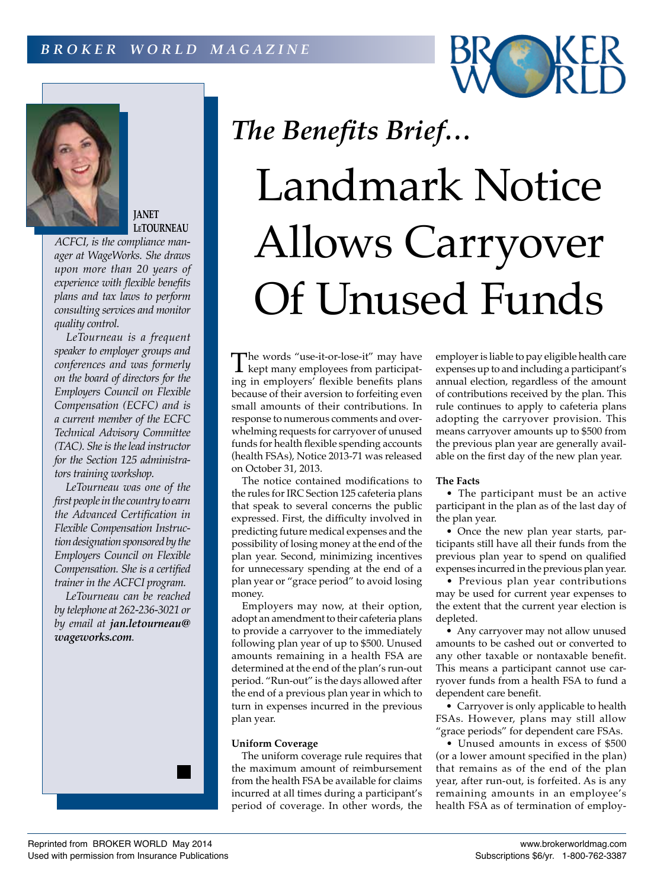



**JANET LeTOURNEAU**

*ACFCI, is the compliance manager at WageWorks. She draws upon more than 20 years of experience with flexible benefits plans and tax laws to perform consulting services and monitor quality control.*

*LeTourneau is a frequent speaker to employer groups and conferences and was formerly on the board of directors for the Employers Council on Flexible Compensation (ECFC) and is a current member of the ECFC Technical Advisory Committee (TAC). She is the lead instructor for the Section 125 administrators training workshop.*

*LeTourneau was one of the first people in the country to earn the Advanced Certification in Flexible Compensation Instruction designation sponsored by the Employers Council on Flexible Compensation. She is a certified trainer in the ACFCI program.*

*LeTourneau can be reached by telephone at 262-236-3021 or by email at jan.letourneau@ wageworks.com.*



The words "use-it-or-lose-it" may have<br>kept many employees from participating in employers' flexible benefits plans because of their aversion to forfeiting even small amounts of their contributions. In response to numerous comments and overwhelming requests for carryover of unused funds for health flexible spending accounts (health FSAs), Notice 2013-71 was released on October 31, 2013.

The notice contained modifications to the rules for IRC Section 125 cafeteria plans that speak to several concerns the public expressed. First, the difficulty involved in predicting future medical expenses and the possibility of losing money at the end of the plan year. Second, minimizing incentives for unnecessary spending at the end of a plan year or "grace period" to avoid losing money.

Employers may now, at their option, adopt an amendment to their cafeteria plans to provide a carryover to the immediately following plan year of up to \$500. Unused amounts remaining in a health FSA are determined at the end of the plan's run-out period. "Run-out" is the days allowed after the end of a previous plan year in which to turn in expenses incurred in the previous plan year.

# **Uniform Coverage**

The uniform coverage rule requires that the maximum amount of reimbursement from the health FSA be available for claims incurred at all times during a participant's period of coverage. In other words, the

employer is liable to pay eligible health care expenses up to and including a participant's annual election, regardless of the amount of contributions received by the plan. This rule continues to apply to cafeteria plans adopting the carryover provision. This means carryover amounts up to \$500 from the previous plan year are generally available on the first day of the new plan year.

### **The Facts**

• The participant must be an active participant in the plan as of the last day of the plan year.

• Once the new plan year starts, participants still have all their funds from the previous plan year to spend on qualified expenses incurred in the previous plan year.

• Previous plan year contributions may be used for current year expenses to the extent that the current year election is depleted.

• Any carryover may not allow unused amounts to be cashed out or converted to any other taxable or nontaxable benefit. This means a participant cannot use carryover funds from a health FSA to fund a dependent care benefit.

• Carryover is only applicable to health FSAs. However, plans may still allow "grace periods" for dependent care FSAs.

• Unused amounts in excess of \$500 (or a lower amount specified in the plan) that remains as of the end of the plan year, after run-out, is forfeited. As is any remaining amounts in an employee's health FSA as of termination of employ